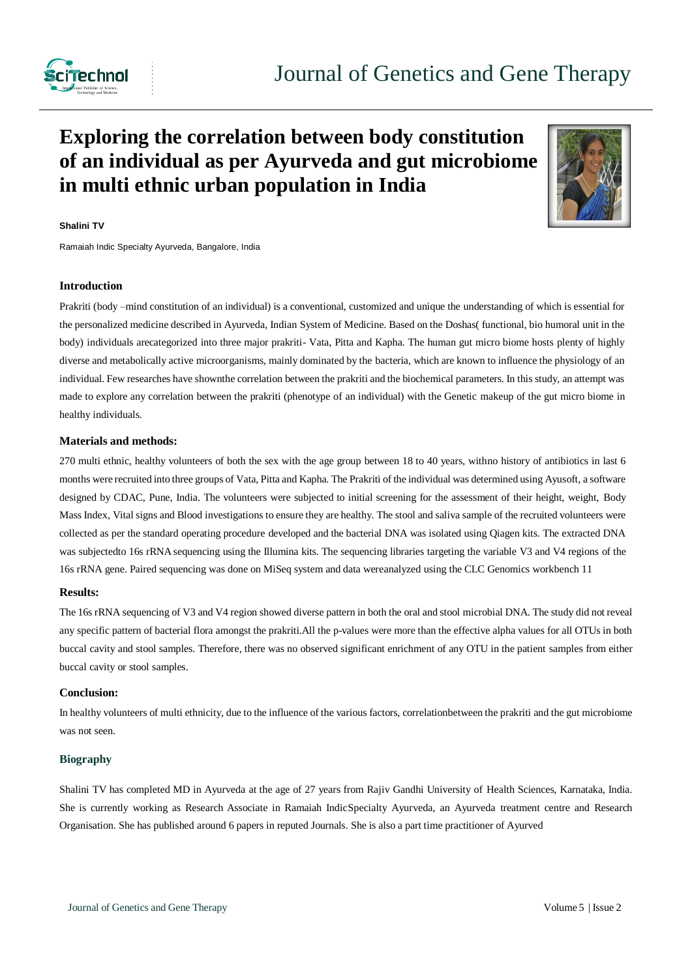

# **Exploring the correlation between body constitution of an individual as per Ayurveda and gut microbiome in multi ethnic urban population in India**



## **Shalini TV**

Ramaiah Indic Specialty Ayurveda, Bangalore, India

#### **Introduction**

Prakriti (body –mind constitution of an individual) is a conventional, customized and unique the understanding of which is essential for the personalized medicine described in Ayurveda, Indian System of Medicine. Based on the Doshas( functional, bio humoral unit in the body) individuals arecategorized into three major prakriti- Vata, Pitta and Kapha. The human gut micro biome hosts plenty of highly diverse and metabolically active microorganisms, mainly dominated by the bacteria, which are known to influence the physiology of an individual. Few researches have shownthe correlation between the prakriti and the biochemical parameters. In this study, an attempt was made to explore any correlation between the prakriti (phenotype of an individual) with the Genetic makeup of the gut micro biome in healthy individuals.

#### **Materials and methods:**

270 multi ethnic, healthy volunteers of both the sex with the age group between 18 to 40 years, withno history of antibiotics in last 6 months were recruited into three groups of Vata, Pitta and Kapha. The Prakriti of the individual was determined using Ayusoft, a software designed by CDAC, Pune, India. The volunteers were subjected to initial screening for the assessment of their height, weight, Body Mass Index, Vital signs and Blood investigations to ensure they are healthy. The stool and saliva sample of the recruited volunteers were collected as per the standard operating procedure developed and the bacterial DNA was isolated using Qiagen kits. The extracted DNA was subjectedto 16s rRNA sequencing using the Illumina kits. The sequencing libraries targeting the variable V3 and V4 regions of the 16s rRNA gene. Paired sequencing was done on MiSeq system and data wereanalyzed using the CLC Genomics workbench 11

#### **Results:**

The 16s rRNA sequencing of V3 and V4 region showed diverse pattern in both the oral and stool microbial DNA. The study did not reveal any specific pattern of bacterial flora amongst the prakriti.All the p-values were more than the effective alpha values for all OTUs in both buccal cavity and stool samples. Therefore, there was no observed significant enrichment of any OTU in the patient samples from either buccal cavity or stool samples.

# **Conclusion:**

In healthy volunteers of multi ethnicity, due to the influence of the various factors, correlationbetween the prakriti and the gut microbiome was not seen.

### **Biography**

Shalini TV has completed MD in Ayurveda at the age of 27 years from Rajiv Gandhi University of Health Sciences, Karnataka, India. She is currently working as Research Associate in Ramaiah IndicSpecialty Ayurveda, an Ayurveda treatment centre and Research Organisation. She has published around 6 papers in reputed Journals. She is also a part time practitioner of Ayurved